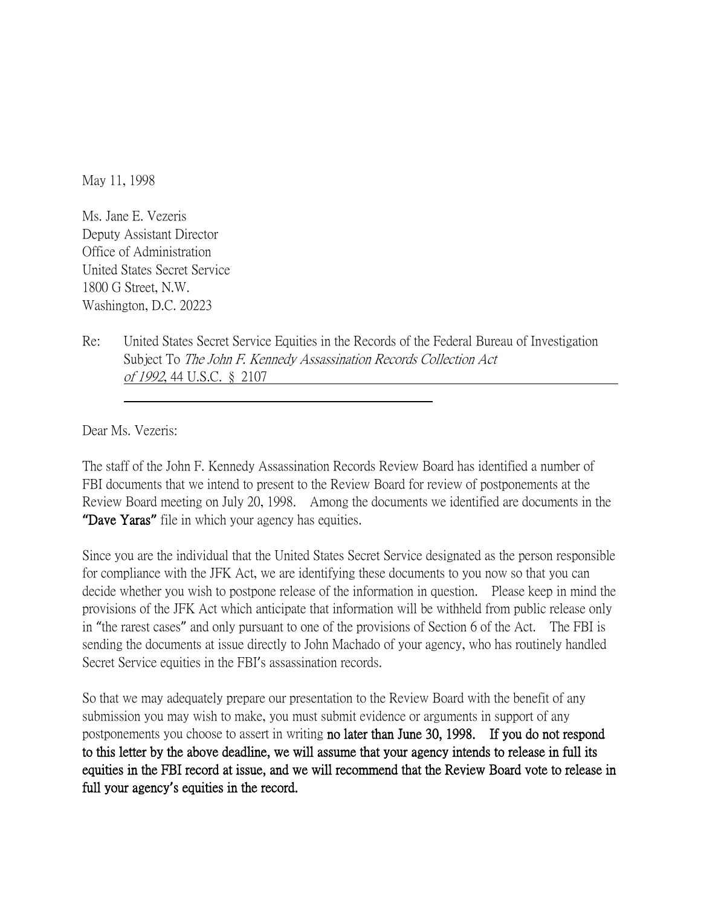May 11, 1998

Ms. Jane E. Vezeris Deputy Assistant Director Office of Administration United States Secret Service 1800 G Street, N.W. Washington, D.C. 20223

Re: United States Secret Service Equities in the Records of the Federal Bureau of Investigation Subject To The John F. Kennedy Assassination Records Collection Act of 1992, 44 U.S.C. § 2107

Dear Ms. Vezeris:

The staff of the John F. Kennedy Assassination Records Review Board has identified a number of FBI documents that we intend to present to the Review Board for review of postponements at the Review Board meeting on July 20, 1998. Among the documents we identified are documents in the **"**Dave Yaras**"** file in which your agency has equities.

Since you are the individual that the United States Secret Service designated as the person responsible for compliance with the JFK Act, we are identifying these documents to you now so that you can decide whether you wish to postpone release of the information in question. Please keep in mind the provisions of the JFK Act which anticipate that information will be withheld from public release only in "the rarest cases" and only pursuant to one of the provisions of Section 6 of the Act. The FBI is sending the documents at issue directly to John Machado of your agency, who has routinely handled Secret Service equities in the FBI's assassination records.

So that we may adequately prepare our presentation to the Review Board with the benefit of any submission you may wish to make, you must submit evidence or arguments in support of any postponements you choose to assert in writing no later than June 30, 1998. If you do not respond to this letter by the above deadline, we will assume that your agency intends to release in full its equities in the FBI record at issue, and we will recommend that the Review Board vote to release in full your agency**'**s equities in the record.